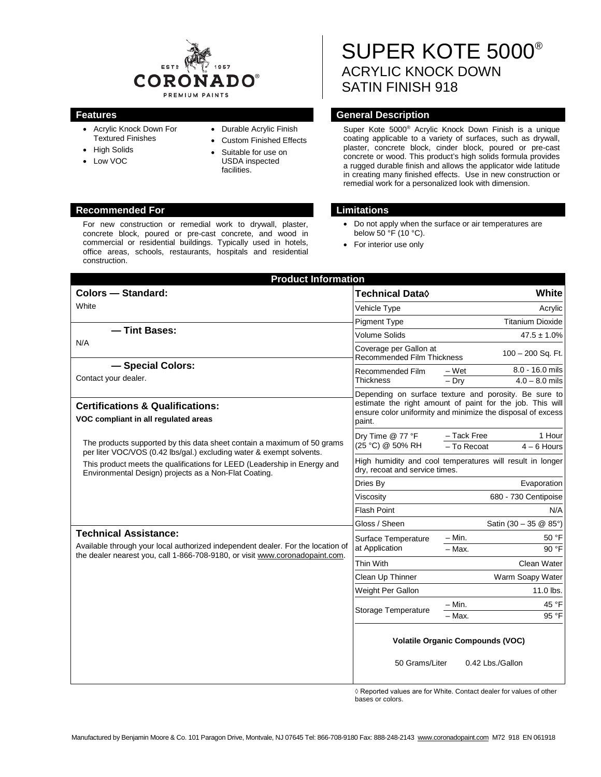

- Acrylic Knock Down For Textured Finishes
- High Solids
- Low VOC
- Durable Acrylic Finish
- Custom Finished Effects Suitable for use on
- USDA inspected facilities.

## **Recommended For Limitations**

For new construction or remedial work to drywall, plaster, concrete block, poured or pre-cast concrete, and wood in commercial or residential buildings. Typically used in hotels, office areas, schools, restaurants, hospitals and residential construction.

SUPER KOTE 5000® ACRYLIC KNOCK DOWN SATIN FINISH 918

## **Features General Description**

Super Kote 5000® Acrylic Knock Down Finish is a unique coating applicable to a variety of surfaces, such as drywall, plaster, concrete block, cinder block, poured or pre-cast concrete or wood. This product's high solids formula provides a rugged durable finish and allows the applicator wide latitude in creating many finished effects. Use in new construction or remedial work for a personalized look with dimension.

- Do not apply when the surface or air temperatures are below  $50 \text{ °F}$  (10 °C).
- For interior use only

| <b>Product Information</b>                                                                                                                                      |                                                                                                                                                                                   |                                 |              |  |
|-----------------------------------------------------------------------------------------------------------------------------------------------------------------|-----------------------------------------------------------------------------------------------------------------------------------------------------------------------------------|---------------------------------|--------------|--|
| <b>Colors - Standard:</b>                                                                                                                                       | Technical Data◊                                                                                                                                                                   |                                 | <b>White</b> |  |
| White                                                                                                                                                           | Vehicle Type                                                                                                                                                                      |                                 | Acrylic      |  |
|                                                                                                                                                                 | <b>Pigment Type</b>                                                                                                                                                               | <b>Titanium Dioxide</b>         |              |  |
| - Tint Bases:                                                                                                                                                   | <b>Volume Solids</b>                                                                                                                                                              | $47.5 \pm 1.0\%$                |              |  |
| N/A                                                                                                                                                             | Coverage per Gallon at<br><b>Recommended Film Thickness</b>                                                                                                                       | 100 - 200 Sq. Ft.               |              |  |
| - Special Colors:                                                                                                                                               | Recommended Film                                                                                                                                                                  | 8.0 - 16.0 mils<br>– Wet        |              |  |
| Contact your dealer.                                                                                                                                            | Thickness                                                                                                                                                                         | $4.0 - 8.0$ mils<br>$-$ Dry     |              |  |
|                                                                                                                                                                 | Depending on surface texture and porosity. Be sure to<br>estimate the right amount of paint for the job. This will<br>ensure color uniformity and minimize the disposal of excess |                                 |              |  |
| <b>Certifications &amp; Qualifications:</b>                                                                                                                     |                                                                                                                                                                                   |                                 |              |  |
| VOC compliant in all regulated areas                                                                                                                            | paint.                                                                                                                                                                            |                                 |              |  |
|                                                                                                                                                                 | Drv Time @ 77 °F<br>(25 °C) @ 50% RH                                                                                                                                              | - Tack Free                     | 1 Hour       |  |
| The products supported by this data sheet contain a maximum of 50 grams<br>per liter VOC/VOS (0.42 lbs/gal.) excluding water & exempt solvents.                 |                                                                                                                                                                                   | - To Recoat<br>$4 - 6$ Hours    |              |  |
| This product meets the qualifications for LEED (Leadership in Energy and<br>Environmental Design) projects as a Non-Flat Coating.                               | High humidity and cool temperatures will result in longer<br>dry, recoat and service times.                                                                                       |                                 |              |  |
|                                                                                                                                                                 | Dries By                                                                                                                                                                          | Evaporation                     |              |  |
|                                                                                                                                                                 | Viscosity                                                                                                                                                                         | 680 - 730 Centipoise            |              |  |
|                                                                                                                                                                 | Flash Point                                                                                                                                                                       |                                 | N/A          |  |
|                                                                                                                                                                 | Gloss / Sheen                                                                                                                                                                     | Satin $(30 - 35 \& 85^{\circ})$ |              |  |
| <b>Technical Assistance:</b>                                                                                                                                    | Surface Temperature<br>at Application                                                                                                                                             | $- Min.$                        | 50 °F        |  |
| Available through your local authorized independent dealer. For the location of<br>the dealer nearest you, call 1-866-708-9180, or visit www.coronadopaint.com. |                                                                                                                                                                                   | $-$ Max.                        | 90 °F        |  |
|                                                                                                                                                                 | Thin With                                                                                                                                                                         | Clean Water                     |              |  |
|                                                                                                                                                                 | Clean Up Thinner                                                                                                                                                                  | Warm Soapy Water                |              |  |
|                                                                                                                                                                 | Weight Per Gallon                                                                                                                                                                 | 11.0 lbs.                       |              |  |
|                                                                                                                                                                 | Storage Temperature                                                                                                                                                               | $- Min.$                        | 45 °F        |  |
|                                                                                                                                                                 |                                                                                                                                                                                   | $-$ Max.                        | 95 °F        |  |
|                                                                                                                                                                 | <b>Volatile Organic Compounds (VOC)</b>                                                                                                                                           |                                 |              |  |
|                                                                                                                                                                 | 50 Grams/Liter                                                                                                                                                                    | 0.42 Lbs./Gallon                |              |  |

◊ Reported values are for White. Contact dealer for values of other bases or colors.